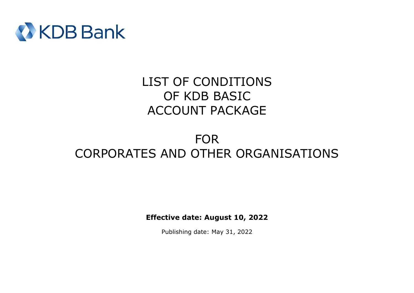

# LIST OF CONDITIONS OF KDB BASIC ACCOUNT PACKAGE

# FOR CORPORATES AND OTHER ORGANISATIONS

**Effective date: August 10, 2022**

Publishing date: May 31, 2022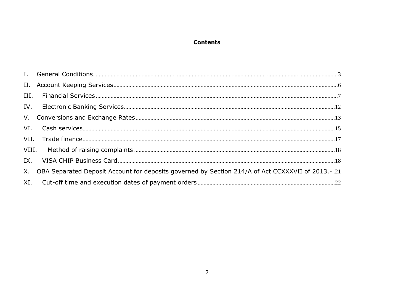# **Contents**

| IX. |                                                                                                                   |  |
|-----|-------------------------------------------------------------------------------------------------------------------|--|
|     | X. OBA Separated Deposit Account for deposits governed by Section 214/A of Act CCXXXVII of 2013. <sup>1</sup> .21 |  |
|     |                                                                                                                   |  |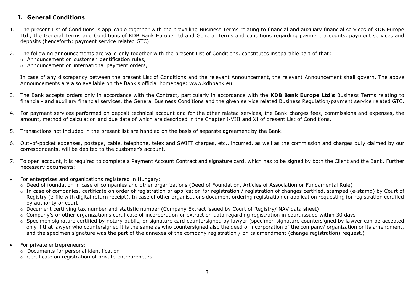## <span id="page-2-0"></span>**I. General Conditions**

- 1. The present List of Conditions is applicable together with the prevailing Business Terms relating to financial and auxiliary financial services of KDB Europe Ltd., the General Terms and Conditions of KDB Bank Europe Ltd and General Terms and conditions regarding payment accounts, payment services and deposits (henceforth: payment service related GTC).
- 2. The following announcements are valid only together with the present List of Conditions, constitutes inseparable part of that:
	- o Announcement on customer identification rules,
	- o Announcement on international payment orders,

In case of any discrepancy between the present List of Conditions and the relevant Announcement, the relevant Announcement shall govern. The above Announcements are also available on the Bank's official homepage: [www.kdbbank.eu.](http://www.kdbbank.eu/)

- 3. The Bank accepts orders only in accordance with the Contract, particularly in accordance with the **KDB Bank Europe Ltd's** Business Terms relating to financial- and auxiliary financial services, the General Business Conditions and the given service related Business Regulation/payment service related GTC.
- 4. For payment services performed on deposit technical account and for the other related services, the Bank charges fees, commissions and expenses, the amount, method of calculation and due date of which are described in the Chapter I-VIII and XI of present List of Conditions.
- 5. Transactions not included in the present list are handled on the basis of separate agreement by the Bank.
- 6. Out–of-pocket expenses, postage, cable, telephone, telex and SWIFT charges, etc., incurred, as well as the commission and charges duly claimed by our correspondents, will be debited to the customer's account.
- 7. To open account, it is required to complete a Payment Account Contract and signature card, which has to be signed by both the Client and the Bank. Further necessary documents:
- For enterprises and organizations registered in Hungary:
	- o Deed of foundation in case of companies and other organizations (Deed of Foundation, Articles of Association or Fundamental Rule)
	- o In case of companies, certificate on order of registration or application for registration / registration of changes certified, stamped (e-stamp) by Court of Registry (e-file with digital return receipt). In case of other organisations document ordering registration or application requesting for registration certified by authority or court
	- o Document certifying tax number and statistic number (Company Extract issued by Court of Registry/ NAV data sheet)
	- $\circ$  Company's or other organization's certificate of incorporation or extract on data regarding registration in court issued within 30 days
	- o Specimen signature certified by notary public, or signature card countersigned by lawyer (specimen signature countersigned by lawyer can be accepted only if that lawyer who countersigned it is the same as who countersigned also the deed of incorporation of the company/ organization or its amendment, and the specimen signature was the part of the annexes of the company registration / or its amendment (change registration) request.)
- For private entrepreneurs:
	- o Documents for personal identification
	- o Certificate on registration of private entrepreneurs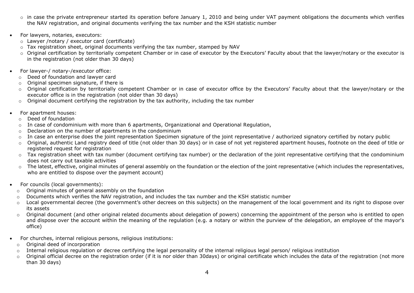- $\circ$  in case the private entrepreneur started its operation before January 1, 2010 and being under VAT payment obligations the documents which verifies the NAV registration, and original documents verifying the tax number and the KSH statistic number
- For lawyers, notaries, executors:
	- o Lawyer /notary / executor card (certificate)
	- $\circ$  Tax registration sheet, original documents verifying the tax number, stamped by NAV
	- o Original certification by territorially competent Chamber or in case of executor by the Executors' Faculty about that the lawyer/notary or the executor is in the registration (not older than 30 days)
- For lawyer-/ notary-/executor office:
	- o Deed of foundation and lawyer card
	- $\circ$  Original specimen signature, if there is
	- o Original certification by territorially competent Chamber or in case of executor office by the Executors' Faculty about that the lawyer/notary or the executor office is in the registration (not older than 30 days)
	- o Original document certifying the registration by the tax authority, including the tax number
- For apartment houses:
	- o Deed of foundation
	- o In case of condominium with more than 6 apartments, Organizational and Operational Regulation,
	- o Declaration on the number of apartments in the condominium
	- o In case an enterprise does the joint representation Specimen signature of the joint representative / authorized signatory certified by notary public
	- o Original, authentic Land registry deed of title (not older than 30 days) or in case of not yet registered apartment houses, footnote on the deed of title or registered request for registration
	- $\circ$  Tax registration sheet with tax number (document certifying tax number) or the declaration of the joint representative certifying that the condominium does not carry out taxable activities
	- o The latest, effective, original minutes of general assembly on the foundation or the election of the joint representative (which includes the representatives, who are entitled to dispose over the payment account)
- For councils (local governments):
	- o Original minutes of general assembly on the foundation
	- o Documents which verifies the NAV registration, and includes the tax number and the KSH statistic number
	- o Local governmental decree (the government's other decrees on this subjects) on the management of the local government and its right to dispose over its assets
	- o Original document (and other original related documents about delegation of powers) concerning the appointment of the person who is entitled to open and dispose over the account within the meaning of the regulation (e.g. a notary or within the purview of the delegation, an employee of the mayor's office)
- For churches, internal religious persons, religious institutions:
	- o Original deed of incorporation
	- o Internal religious regulation or decree certifying the legal personality of the internal religious legal person/ religious institution
	- o Original official decree on the registration order (if it is nor older than 30days) or original certificate which includes the data of the registration (not more than 30 days)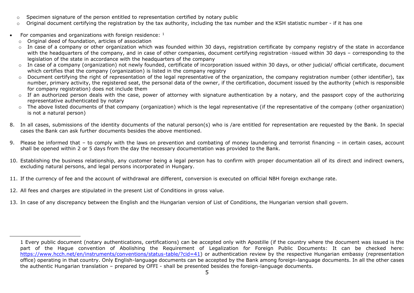- $\circ$  Specimen signature of the person entitled to representation certified by notary public
- $\circ$  Original document certifying the registration by the tax authority, including the tax number and the KSH statistic number if it has one
- For companies and organizations with foreign residence:  $1$ 
	- o Original deed of foundation, articles of association
	- o In case of a company or other organization which was founded within 30 days, registration certificate by company registry of the state in accordance with the headquarters of the company, and in case of other companies, document certifying registration -issued within 30 days – corresponding to the legislation of the state in accordance with the headquarters of the company
	- o In case of a company (organization) not newly founded, certificate of incorporation issued within 30 days, or other judicial/ official certificate, document which certifies that the company (organization) is listed in the company registry
	- $\circ$  Document certifying the right of representation of the legal representative of the organization, the company registration number (other identifier), tax number, primary activity, the registered seat, the personal data of the owner, if the certification, document issued by the authority (which is responsible for company registration) does not include them
	- $\circ$  If an authorized person deals with the case, power of attorney with signature authentication by a notary, and the passport copy of the authorizing representative authenticated by notary
	- $\circ$  The above listed documents of that company (organization) which is the legal representative (if the representative of the company (other organization) is not a natural person)
- 8. In all cases, submissions of the identity documents of the natural person(s) who is /are entitled for representation are requested by the Bank. In special cases the Bank can ask further documents besides the above mentioned.
- 9. Please be informed that to comply with the laws on prevention and combating of money laundering and terrorist financing in certain cases, account shall be opened within 2 or 5 days from the day the necessary documentation was provided to the Bank.
- 10. Establishing the business relationship, any customer being a legal person has to confirm with proper documentation all of its direct and indirect owners, excluding natural persons, and legal persons incorporated in Hungary.
- 11. If the currency of fee and the account of withdrawal are different, conversion is executed on official NBH foreign exchange rate.
- 12. All fees and charges are stipulated in the present List of Conditions in gross value.
- 13. In case of any discrepancy between the English and the Hungarian version of List of Conditions, the Hungarian version shall govern.

<sup>1</sup> Every public document (notary authentications, certifications) can be accepted only with Apostille (if the country where the document was issued is the part of the Hague convention of Abolishing the Requirement of Legalization for Foreign Public Documents: It can be checked here: [https://www.hcch.net/en/instruments/conventions/status-table/?cid=41\)](https://www.hcch.net/en/instruments/conventions/status-table/?cid=41) or authentication review by the respective Hungarian embassy (representation office) operating in that country. Only English-language documents can be accepted by the Bank among foreign-language documents. In all the other cases the authentic Hungarian translation – prepared by OFFI - shall be presented besides the foreign-language documents.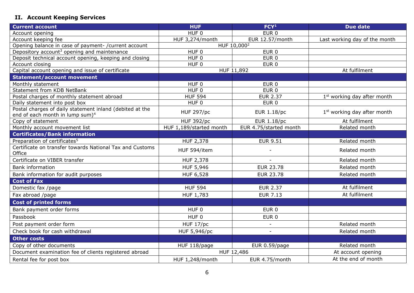# <span id="page-5-0"></span>**II. Account Keeping Services**

| <b>Current account</b>                                                                                  | <b>HUF</b>              | FCY <sup>1</sup>         | <b>Due date</b>                         |
|---------------------------------------------------------------------------------------------------------|-------------------------|--------------------------|-----------------------------------------|
| Account opening                                                                                         | HUF <sub>0</sub>        | EUR <sub>0</sub>         |                                         |
| Account keeping fee                                                                                     | HUF 3,274/month         | EUR 12.57/month          | Last working day of the month           |
| Opening balance in case of payment-/current account                                                     |                         | HUF 10,000 <sup>2</sup>  |                                         |
| Depository account <sup>3</sup> opening and maintenance                                                 | HUF <sub>0</sub>        | EUR <sub>0</sub>         |                                         |
| Deposit technical account opening, keeping and closing                                                  | $HUF$ <sub>0</sub>      | $EUR$ <sub>0</sub>       |                                         |
| Account closing                                                                                         | HUF <sub>0</sub>        | EUR <sub>0</sub>         |                                         |
| Capital account opening and issue of certificate                                                        |                         | HUF 11,892               | At fulfilment                           |
| <b>Statement/account movement</b>                                                                       |                         |                          |                                         |
| Monthly statement                                                                                       | HUF <sub>0</sub>        | EUR <sub>0</sub>         |                                         |
| Statement from KDB NetBank                                                                              | HUF <sub>0</sub>        | EUR <sub>0</sub>         |                                         |
| Postal charges of monthly statement abroad                                                              | <b>HUF 594</b>          | <b>EUR 2.37</b>          | 1 <sup>st</sup> working day after month |
| Daily statement into post box                                                                           | HUF <sub>0</sub>        | EUR <sub>0</sub>         |                                         |
| Postal charges of daily statement inland (debited at the<br>end of each month in lump sum) <sup>4</sup> | <b>HUF 297/pc</b>       | <b>EUR 1.18/pc</b>       | 1 <sup>st</sup> working day after month |
| Copy of statement                                                                                       | <b>HUF 392/pc</b>       | EUR 1.18/pc              | At fulfilment                           |
| Monthly account movement list                                                                           | HUF 1,189/started month | EUR 4.75/started month   | Related month                           |
| <b>Certificates/Bank information</b>                                                                    |                         |                          |                                         |
| Preparation of certificates <sup>5</sup>                                                                | HUF 2,378               | <b>EUR 9.51</b>          | Related month                           |
| Certificate on transfer towards National Tax and Customs<br>Office                                      | HUF 594/item            |                          | Related month                           |
| Certificate on VIBER transfer                                                                           | <b>HUF 2,378</b>        |                          | Related month                           |
| <b>Bank information</b>                                                                                 | HUF 5,946               | <b>EUR 23.78</b>         | Related month                           |
| Bank information for audit purposes                                                                     | HUF 6,528               | <b>EUR 23.78</b>         | Related month                           |
| <b>Cost of Fax</b>                                                                                      |                         |                          |                                         |
| Domestic fax /page                                                                                      | <b>HUF 594</b>          | <b>EUR 2.37</b>          | At fulfilment                           |
| Fax abroad /page                                                                                        | HUF 1,783               | <b>EUR 7.13</b>          | At fulfilment                           |
| <b>Cost of printed forms</b>                                                                            |                         |                          |                                         |
| Bank payment order forms                                                                                | HUF <sub>0</sub>        | EUR <sub>0</sub>         |                                         |
| Passbook                                                                                                | HUF 0                   | EUR <sub>0</sub>         |                                         |
| Post payment order form                                                                                 | HUF 17/pc               | $\overline{\phantom{a}}$ | Related month                           |
| Check book for cash withdrawal                                                                          | HUF 5,946/pc            |                          | Related month                           |
| <b>Other costs</b>                                                                                      |                         |                          |                                         |
| Copy of other documents                                                                                 | HUF 118/page            | EUR 0.59/page            | Related month                           |
| Document examination fee of clients registered abroad                                                   |                         | HUF 12,486               | At account opening                      |
| Rental fee for post box                                                                                 | HUF 1,248/month         | EUR 4.75/month           | At the end of month                     |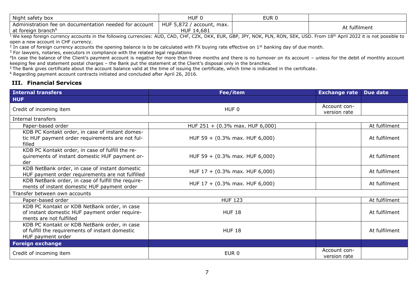| Night safety box                                       | HUF.                                      | EUR 0 |               |
|--------------------------------------------------------|-------------------------------------------|-------|---------------|
| Administration fee on documentation needed for account | HUF 5,872,<br>account, max.<br>HUF 14,681 |       | At fulfilment |
| at foreign branch <sup>®</sup>                         |                                           |       |               |

 $^{\rm 1}$  We keep foreign currency accounts in the following currencies: AUD, CAD, CHF, CZK, DKK, EUR, GBP, JPY, NOK, PLN, RON, SEK, USD. From  $18^{\rm th}$  April 2022 it is not possible to open a new account in CHF currency.

<sup>2</sup> In case of foreign currency accounts the opening balance is to be calculated with FX buying rate effective on 1<sup>st</sup> banking day of due month.

<sup>3</sup> For lawyers, notaries, executors in compliance with the related legal regulations

 $4$ In case the balance of the Client's payment account is negative for more than three months and there is no turnover on its account – unless for the debit of monthly account keeping fee and statement postal charges – the Bank put the statement at the Client's disposal only in the branches.

 $5$ The Bank gives certificate about the account balance valid at the time of issuing the certificate, which time is indicated in the certificate.

<sup>6</sup> Regarding payment account contracts initiated and concluded after April 26, 2016.

#### <span id="page-6-0"></span>**III. Financial Services**

| <b>Internal transfers</b>                                                                                                 | Fee/item                           | <b>Exchange rate</b>         | Due date      |
|---------------------------------------------------------------------------------------------------------------------------|------------------------------------|------------------------------|---------------|
| <b>HUF</b>                                                                                                                |                                    |                              |               |
| Credit of incoming item                                                                                                   | HUF <sub>0</sub>                   | Account con-<br>version rate |               |
| Internal transfers                                                                                                        |                                    |                              |               |
| Paper-based order                                                                                                         | HUF $251 + (0.3\%$ max. HUF 6,000) |                              | At fulfilment |
| KDB PC Kontakt order, in case of instant domes-<br>tic HUF payment order requirements are not ful-<br>filled              | HUF 59 + $(0.3\%$ max. HUF 6,000)  |                              | At fulfilment |
| KDB PC Kontakt order, in case of fulfill the re-<br>quirements of instant domestic HUF payment or-<br>der                 | HUF 59 + $(0.3\%$ max. HUF 6,000)  |                              | At fulfilment |
| KDB NetBank order, in case of instant domestic<br>HUF payment order requirements are not fulfilled                        | HUF $17 + (0.3\%$ max. HUF 6,000)  |                              | At fulfilment |
| KDB NetBank order, in case of fulfill the require-<br>ments of instant domestic HUF payment order                         | HUF $17 + (0.3\%$ max. HUF 6,000)  |                              | At fulfilment |
| Transfer between own accounts                                                                                             |                                    |                              |               |
| Paper-based order                                                                                                         | <b>HUF 123</b>                     |                              | At fulfilment |
| KDB PC Kontakt or KDB NetBank order, in case<br>of instant domestic HUF payment order require-<br>ments are not fulfilled | <b>HUF 18</b>                      |                              | At fulfilment |
| KDB PC Kontakt or KDB NetBank order, in case<br>of fulfill the requirements of instant domestic<br>HUF payment order      | <b>HUF 18</b>                      |                              | At fulfilment |
| <b>Foreign exchange</b>                                                                                                   |                                    |                              |               |
| Credit of incoming item                                                                                                   | EUR <sub>0</sub>                   | Account con-<br>version rate |               |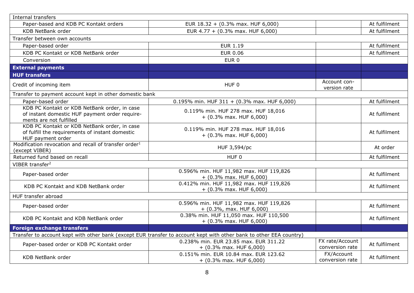| Internal transfers                                                                                                        |                                                                                                                     |                                    |               |
|---------------------------------------------------------------------------------------------------------------------------|---------------------------------------------------------------------------------------------------------------------|------------------------------------|---------------|
| Paper-based and KDB PC Kontakt orders                                                                                     | EUR 18.32 + (0.3% max. HUF 6,000)                                                                                   |                                    | At fulfilment |
| <b>KDB NetBank order</b>                                                                                                  | EUR 4.77 + (0.3% max. HUF 6,000)                                                                                    |                                    | At fulfilment |
| Transfer between own accounts                                                                                             |                                                                                                                     |                                    |               |
| Paper-based order                                                                                                         | <b>EUR 1.19</b>                                                                                                     |                                    | At fulfilment |
| KDB PC Kontakt or KDB NetBank order                                                                                       | <b>EUR 0.06</b>                                                                                                     |                                    | At fulfilment |
| Conversion                                                                                                                | EUR <sub>0</sub>                                                                                                    |                                    |               |
| <b>External payments</b>                                                                                                  |                                                                                                                     |                                    |               |
| <b>HUF transfers</b>                                                                                                      |                                                                                                                     |                                    |               |
| Credit of incoming item                                                                                                   | HUF <sub>0</sub>                                                                                                    | Account con-<br>version rate       |               |
| Transfer to payment account kept in other domestic bank                                                                   |                                                                                                                     |                                    |               |
| Paper-based order                                                                                                         | 0.195% min. HUF 311 + (0.3% max. HUF 6,000)                                                                         |                                    | At fulfilment |
| KDB PC Kontakt or KDB NetBank order, in case<br>of instant domestic HUF payment order require-<br>ments are not fulfilled | 0.119% min. HUF 278 max. HUF 18,016<br>$+$ (0.3% max. HUF 6,000)                                                    |                                    | At fulfilment |
| KDB PC Kontakt or KDB NetBank order, in case<br>of fulfill the requirements of instant domestic<br>HUF payment order      | 0.119% min. HUF 278 max. HUF 18,016<br>$+$ (0.3% max. HUF 6,000)                                                    |                                    | At fulfilment |
| Modification revocation and recall of transfer order <sup>1</sup><br>(except VIBER)                                       | HUF 3,594/pc                                                                                                        |                                    | At order      |
| Returned fund based on recall                                                                                             | HUF <sub>0</sub>                                                                                                    |                                    | At fulfilment |
| VIBER transfer <sup>2</sup>                                                                                               |                                                                                                                     |                                    |               |
| Paper-based order                                                                                                         | 0.596% min. HUF 11,982 max. HUF 119,826<br>$+$ (0.3% max. HUF 6,000)                                                |                                    | At fulfilment |
| KDB PC Kontakt and KDB NetBank order                                                                                      | 0.412% min. HUF 11,982 max. HUF 119,826<br>$+$ (0.3% max. HUF 6,000)                                                |                                    | At fulfilment |
| HUF transfer abroad                                                                                                       |                                                                                                                     |                                    |               |
| Paper-based order                                                                                                         | 0.596% min. HUF 11,982 max. HUF 119,826<br>$+$ (0.3%, max. HUF 6,000)                                               |                                    | At fulfilment |
| KDB PC Kontakt and KDB NetBank order                                                                                      | 0.38% min. HUF 11,050 max. HUF 110,500<br>$+$ (0.3% max. HUF 6,000)                                                 |                                    | At fulfilment |
| <b>Foreign exchange transfers</b>                                                                                         |                                                                                                                     |                                    |               |
|                                                                                                                           | Transfer to account kept with other bank (except EUR transfer to account kept with other bank to other EEA country) |                                    |               |
| Paper-based order or KDB PC Kontakt order                                                                                 | 0.238% min. EUR 23.85 max. EUR 311.22<br>$+$ (0.3% max. HUF 6,000)                                                  | FX rate/Account<br>conversion rate | At fulfilment |
| <b>KDB NetBank order</b>                                                                                                  | 0.151% min. EUR 10.84 max. EUR 123.62<br>$+$ (0.3% max. HUF 6,000)                                                  | FX/Account<br>conversion rate      | At fulfilment |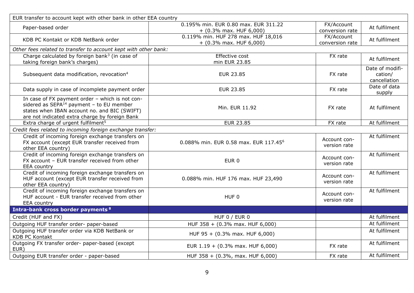| EUR transfer to account kept with other bank in other EEA country                                                                                                                               |                                                                   |                               |                                            |  |
|-------------------------------------------------------------------------------------------------------------------------------------------------------------------------------------------------|-------------------------------------------------------------------|-------------------------------|--------------------------------------------|--|
| Paper-based order                                                                                                                                                                               | 0.195% min. EUR 0.80 max. EUR 311.22<br>$+$ (0.3% max. HUF 6,000) | FX/Account<br>conversion rate | At fulfilment                              |  |
| KDB PC Kontakt or KDB NetBank order                                                                                                                                                             | 0.119% min. HUF 278 max. HUF 18,016<br>$+$ (0.3% max. HUF 6,000)  | FX/Account<br>conversion rate | At fulfilment                              |  |
| Other fees related to transfer to account kept with other bank:                                                                                                                                 |                                                                   |                               |                                            |  |
| Charge calculated by foreign bank <sup>3</sup> (in case of<br>taking foreign bank's charges)                                                                                                    | Effective cost<br>min EUR 23.85                                   | FX rate                       | At fulfilment                              |  |
| Subsequent data modification, revocation <sup>4</sup>                                                                                                                                           | <b>EUR 23.85</b>                                                  | FX rate                       | Date of modifi-<br>cation/<br>cancellation |  |
| Data supply in case of incomplete payment order                                                                                                                                                 | <b>EUR 23.85</b>                                                  | FX rate                       | Date of data<br>supply                     |  |
| In case of FX payment order - which is not con-<br>sidered as $SEPA14$ payment - to EU member<br>states when IBAN account no. and BIC (SWIFT)<br>are not indicated extra charge by foreign Bank | Min. EUR 11.92                                                    | FX rate                       | At fulfilment                              |  |
| Extra charge of urgent fulfilment <sup>5</sup>                                                                                                                                                  | <b>EUR 23.85</b>                                                  | FX rate                       | At fulfilment                              |  |
| Credit fees related to incoming foreign exchange transfer:                                                                                                                                      |                                                                   |                               |                                            |  |
| Credit of incoming foreign exchange transfers on<br>FX account (except EUR transfer received from<br>other EEA country)                                                                         | 0.088% min. EUR 0.58 max. EUR 117.45 <sup>6</sup>                 | Account con-<br>version rate  | At fulfilment                              |  |
| Credit of incoming foreign exchange transfers on<br>FX account - EUR transfer received from other<br><b>EEA</b> country                                                                         | EUR <sub>0</sub>                                                  | Account con-<br>version rate  | At fulfilment                              |  |
| Credit of incoming foreign exchange transfers on<br>HUF account (except EUR transfer received from<br>other EEA country)                                                                        | 0.088% min. HUF 176 max. HUF 23,490                               | Account con-<br>version rate  | At fulfilment                              |  |
| Credit of incoming foreign exchange transfers on<br>HUF account - EUR transfer received from other<br>EEA country                                                                               | HUF 0                                                             | Account con-<br>version rate  | At fulfilment                              |  |
| Intra-bank cross border payments <sup>8</sup>                                                                                                                                                   |                                                                   |                               |                                            |  |
| Credit (HUF and FX)                                                                                                                                                                             | HUF 0 / EUR 0                                                     |                               | At fulfilment                              |  |
| Outgoing HUF transfer order- paper-based                                                                                                                                                        | HUF 358 + (0.3% max. HUF 6,000)                                   |                               | At fulfilment                              |  |
| Outgoing HUF transfer order via KDB NetBank or<br><b>KDB PC Kontakt</b>                                                                                                                         | HUF 95 + (0.3% max. HUF 6,000)                                    |                               | At fulfilment                              |  |
| Outgoing FX transfer order- paper-based (except<br>EUR)                                                                                                                                         | EUR $1.19 + (0.3\%$ max. HUF 6,000)                               | FX rate                       | At fulfilment                              |  |
| Outgoing EUR transfer order - paper-based                                                                                                                                                       | HUF 358 + (0.3%, max. HUF 6,000)                                  | FX rate                       | At fulfilment                              |  |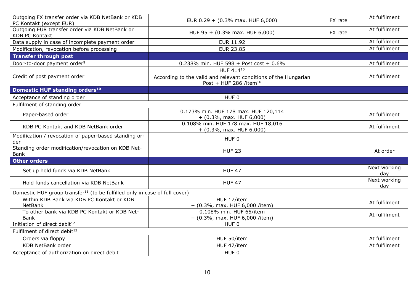| Outgoing FX transfer order via KDB NetBank or KDB<br>PC Kontakt (except EUR)           | EUR 0.29 + (0.3% max. HUF 6,000)                                                                      | FX rate | At fulfilment       |
|----------------------------------------------------------------------------------------|-------------------------------------------------------------------------------------------------------|---------|---------------------|
| Outgoing EUR transfer order via KDB NetBank or<br><b>KDB PC Kontakt</b>                | HUF 95 + (0.3% max. HUF 6,000)                                                                        | FX rate | At fulfilment       |
| Data supply in case of incomplete payment order                                        | <b>EUR 11.92</b>                                                                                      |         | At fulfilment       |
| Modification, revocation before processing                                             | <b>EUR 23.85</b>                                                                                      |         | At fulfilment       |
| <b>Transfer through post</b>                                                           |                                                                                                       |         |                     |
| Door-to-door payment order <sup>9</sup>                                                | 0.238% min. HUF 598 + Post cost + $0.6\%$                                                             |         | At fulfilment       |
|                                                                                        | HUF 41415                                                                                             |         |                     |
| Credit of post payment order                                                           | According to the valid and relevant conditions of the Hungarian<br>Post + HUF 286 /item <sup>16</sup> |         | At fulfilment       |
| Domestic HUF standing orders <sup>10</sup>                                             |                                                                                                       |         |                     |
| Acceptance of standing order                                                           | HUF 0                                                                                                 |         |                     |
| Fulfilment of standing order                                                           |                                                                                                       |         |                     |
| Paper-based order                                                                      | 0.173% min. HUF 178 max. HUF 120,114<br>$+$ (0.3%, max. HUF 6,000)                                    |         | At fulfilment       |
| KDB PC Kontakt and KDB NetBank order                                                   | 0.108% min. HUF 178 max. HUF 18,016<br>$+$ (0.3%, max. HUF 6,000)                                     |         | At fulfilment       |
| Modification / revocation of paper-based standing or-<br>der                           | HUF 0                                                                                                 |         |                     |
| Standing order modification/revocation on KDB Net-<br><b>Bank</b>                      | <b>HUF 23</b>                                                                                         |         | At order            |
| <b>Other orders</b>                                                                    |                                                                                                       |         |                     |
| Set up hold funds via KDB NetBank                                                      | <b>HUF 47</b>                                                                                         |         | Next working<br>day |
| Hold funds cancellation via KDB NetBank                                                | <b>HUF 47</b>                                                                                         |         | Next working<br>day |
| Domestic HUF group transfer <sup>11</sup> (to be fulfilled only in case of full cover) |                                                                                                       |         |                     |
| Within KDB Bank via KDB PC Kontakt or KDB<br><b>NetBank</b>                            | HUF 17/item<br>+ (0.3%, max. HUF 6,000 /item)                                                         |         | At fulfilment       |
| To other bank via KDB PC Kontakt or KDB Net-<br><b>Bank</b>                            | 0.108% min. HUF 65/item<br>$+$ (0.3%, max. HUF 6,000 /item)                                           |         | At fulfilment       |
| Initiation of direct debit <sup>12</sup>                                               | HUF <sub>0</sub>                                                                                      |         |                     |
| Fulfilment of direct debit <sup>12</sup>                                               |                                                                                                       |         |                     |
| Orders via floppy                                                                      | HUF 50/item                                                                                           |         | At fulfilment       |
| <b>KDB NetBank order</b>                                                               | HUF 47/item                                                                                           |         | At fulfilment       |
| Acceptance of authorization on direct debit                                            | HUF <sub>0</sub>                                                                                      |         |                     |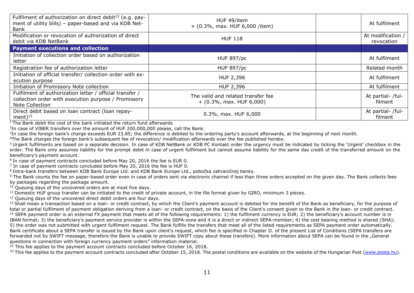| Fulfilment of authorization on direct debit <sup>12</sup> (e.g. pay-<br>ment of utility bills) - paper-based and via KDB Net-<br>Bank | HUF 49/item<br>$+$ (0.3%, max. HUF 6,000 /item)                  | At fulfilment                   |
|---------------------------------------------------------------------------------------------------------------------------------------|------------------------------------------------------------------|---------------------------------|
| Modification or revocation of authorization of direct<br>debit via KDB NetBank                                                        | <b>HUF 118</b>                                                   | At modification /<br>revocation |
| <b>Payment executions and collection</b>                                                                                              |                                                                  |                                 |
| Initiation of collection order based on authorization<br>letter                                                                       | <b>HUF 897/pc</b>                                                | At fulfilment                   |
| Registration fee of authorization letter                                                                                              | <b>HUF 897/pc</b>                                                | Related month                   |
| Initiation of official transfer/ collection order with ex-<br>ecution purpose                                                         | HUF 2,396                                                        | At fulfilment                   |
| Initiation of Promissory Note collection                                                                                              | HUF 2,396                                                        | At fulfilment                   |
| Fulfilment of authorization letter / official transfer /<br>collection order with execution purpose / Promissory<br>Note Collection   | The valid and related transfer fee<br>$+$ (0.3%, max. HUF 6,000) | At partial- /ful-<br>filment    |
| Direct debit based on loan contract (loan repay-<br>ment $)^{13}$                                                                     | 0.3%, max. HUF 6,000                                             | At partial- /ful-<br>filment    |

 $1$  The Bank debit the cost of the bank initiated the return fund afterwards

<sup>2</sup>In case of VIBER transfers over the amount of HUF 200,000,000 please, call the Bank.

 ${}^{3}$ In case the foreign bank's charge exceeds EUR 23.85; the difference is debited to the ordering party's account afterwards, at the beginning of next month.

<sup>4</sup>The Bank charges the foreign bank's subsequent fee of revocation/ modification afterwards over the fee published hereby.

<sup>5</sup> Urgent fulfilments are based on a separate decision. In case of KDB NetBank or KDB PC Kontakt order the urgency must be indicated by ticking the 'Urgent' checkbox in the order. The Bank only assumes liability for the prompt debit in case of urgent fulfilment but cannot assume liability for the same day credit of the transferred amount on the beneficiary's payment account.

 $6$  In case of payment contracts concluded before May 20, 2016 the fee is EUR 0.

 $^7$  In case of payment contracts concluded before May 20, 2016 the fee is HUF 0.

<sup>8</sup>Intra-bank transfers between KDB Bank Europe Ltd. and KDB Bank Europe Ltd., pobočka zahraničnej banky.

<sup>9</sup> The Bank counts the fee on paper-based order even in case of orders sent via electronic channel if less than three orders accepted on the given day. The Bank collects fees by packages regarding the package amount.

 $10$  Queuing days of the uncovered orders are at most five days.

<sup>11</sup> Domestic HUF group transfer can be initiated to the credit of private account, in the file format given by GIRO, minimum 3 pieces.

<sup>12</sup> Oueuing days of the uncovered direct debit orders are four days.

<sup>13</sup> Shall mean a transaction based on a loan- or credit contract, by which the Client's payment account is debited for the benefit of the Bank as beneficiary, for the purpose of total or partial fulfilment of payment obligation deriving from a loan- or credit contract, on the basis of the Client's consent given to the Bank in the loan- or credit contract. <sup>14</sup> SEPA payment order is an external FX payment that meets all of the following requirements: 1) the fulfilment currency is EUR; 2) the beneficiary's account number is in IBAN format; 3) the beneficiary's payment service provider is within the SEPA-zone and it is a direct or indirect SEPA-member; 4) the cost bearing method is shared (SHA); 5) the order was not submitted with urgent fulfilment request. The Bank fulfills the transfers that meet all of the listed requirements as SEPA payment order automatically. Bank certificate about a SEPA transfer is issued by the Bank upon client's request, which fee is specified in Chapter II. of the present List of Conditions (SEPA transfers are forwarded not by SWIFT message, therefore the Bank is unable to provide SWIFT copy about these transfers). More information about SEPA can be found in the "General questions in connection with foreign currency payment orders" information material.

 $15$  This fee applies to the payment account contracts concluded before October 16, 2018.

 $16$  This fee applies to the payment account contracts concluded after October 15, 2018. The postal conditions are available on the website of the Hungarian Post [\(www.posta.hu\)](http://www.posta.hu/).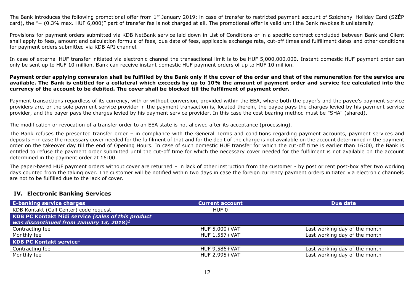The Bank introduces the following promotional offer from  $1<sup>st</sup>$  January 2019: in case of transfer to restricted payment account of Széchenyi Holiday Card (SZÉP) card), the "+ (0.3% max. HUF 6,000)" part of transfer fee is not charged at all. The promotional offer is valid until the Bank revokes it unilaterally.

Provisions for payment orders submitted via KDB NetBank service laid down in List of Conditions or in a specific contract concluded between Bank and Client shall apply to fees, amount and calculation formula of fees, due date of fees, applicable exchange rate, cut-off times and fulfillment dates and other conditions for payment orders submitted via KDB API channel.

In case of external HUF transfer initiated via electronic channel the transactional limit is to be HUF 5,000,000,000. Instant domestic HUF payment order can only be sent up to HUF 10 million. Bank can receive instant domestic HUF payment orders of up to HUF 10 million.

#### **Payment order applying conversion shall be fulfilled by the Bank only if the cover of the order and that of the remuneration for the service are available. The Bank is entitled for a collateral which exceeds by up to 10% the amount of payment order and service fee calculated into the currency of the account to be debited. The cover shall be blocked till the fulfilment of payment order.**

Payment transactions regardless of its currency, with or without conversion, provided within the EEA, where both the payer's and the payee's payment service providers are, or the sole payment service provider in the payment transaction is, located therein, the payee pays the charges levied by his payment service provider, and the payer pays the charges levied by his payment service provider. In this case the cost bearing method must be "SHA" (shared).

The modification or revocation of a transfer order to an EEA state is not allowed after its acceptance (processing).

The Bank refuses the presented transfer order – in compliance with the General Terms and conditions regarding payment accounts, payment services and deposits – in case the necessary cover needed for the fulfilment of that and for the debit of the charge is not available on the account determined in the payment order on the takeover day till the end of Opening Hours. In case of such domestic HUF transfer for which the cut-off time is earlier than 16:00, the Bank is entitled to refuse the payment order submitted until the cut-off time for which the necessary cover needed for the fulfilment is not available on the account determined in the payment order at 16:00.

The paper-based HUF payment orders without cover are returned – in lack of other instruction from the customer - by post or rent post-box after two working days counted from the taking over. The customer will be notified within two days in case the foreign currency payment orders initiated via electronic channels are not to be fulfilled due to the lack of cover.

#### <span id="page-11-0"></span>**IV. Electronic Banking Services**

| <b>E-banking service charges</b>                                                                           | <b>Current account</b> | Due date                      |
|------------------------------------------------------------------------------------------------------------|------------------------|-------------------------------|
| KDB Kontakt (Call Center) code request                                                                     | HUF 0                  |                               |
| KDB PC Kontakt Midi service (sales of this product<br>was discontinued from January 13, 2018) <sup>1</sup> |                        |                               |
| Contracting fee                                                                                            | <b>HUF 5,000+VAT</b>   | Last working day of the month |
| Monthly fee                                                                                                | <b>HUF 1,557+VAT</b>   | Last working day of the month |
| <b>KDB PC Kontakt service1</b>                                                                             |                        |                               |
| Contracting fee                                                                                            | <b>HUF 9,586+VAT</b>   | Last working day of the month |
| Monthly fee                                                                                                | <b>HUF 2,995+VAT</b>   | Last working day of the month |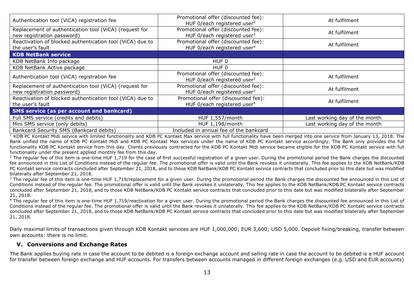| Authentication tool (ViCA) registration fee                                          | Promotional offer (discounted fee):<br>HUF 0/each registered user <sup>2</sup> | At fulfilment                 |
|--------------------------------------------------------------------------------------|--------------------------------------------------------------------------------|-------------------------------|
| Replacement of authentication tool (ViCA) (request for<br>new registration password) | Promotional offer (discounted fee):<br>HUF 0/each registered user <sup>3</sup> | At fulfilment                 |
| Reactivation of blocked authentication tool (ViCA) due to<br>the user's fault        | Promotional offer (discounted fee):<br>HUF 0/each registered user <sup>4</sup> | At fulfilment                 |
| <b>KDB NetBank service</b>                                                           |                                                                                |                               |
| KDB NetBank Info package                                                             | HUF <sub>0</sub>                                                               |                               |
| KDB NetBank Active package                                                           | HUF <sub>0</sub>                                                               |                               |
| Authentication tool (ViCA) registration fee                                          | Promotional offer (discounted fee):<br>HUF 0/each registered user <sup>2</sup> | At fulfilment                 |
| Replacement of authentication tool (ViCA) (request for<br>new registration password) | Promotional offer (discounted fee):<br>HUF 0/each registered user $3$          | At fulfilment                 |
| Reactivation of blocked authentication tool (ViCA) due to<br>the user's fault        | Promotional offer (discounted fee):<br>HUF 0/each registered user <sup>4</sup> | At fulfilment                 |
| <b>SMS service (as per account and bankcard)</b>                                     |                                                                                |                               |
| Full SMS service (credits and debits)                                                | HUF 1,557/month                                                                | Last working day of the month |
| Mini SMS service (only debits)                                                       | HUF 1,198/month                                                                | Last working day of the month |
| Bankcard Security SMS (Bankcard debits)                                              | Included in annual fee of the bankcard                                         |                               |

 $1$  KDB PC Kontakt Midi service with limited functionality and KDB PC Kontakt Max service with full functionality have been merged into one service from January 13, 2018. The Bank unified the name of KDB PC Kontakt Midi and KDB PC Kontakt Max services under the name of KDB PC Kontakt service accordingly. The Bank only provides the full functionality KDB PC Kontakt service from this day. Clients previously contracted for the KDB PC Kontakt Midi service became eligible for the KDB PC Kontakt service with full functionality under the present applied monthly fee from this day.

<sup>2</sup> The regular fee of this item is one-time HUF 1,719 for the case of first successful registration of a given user. During the promotional period the Bank charges the discounted fee announced in this List of Conditions instead of the regular fee. The promotional offer is valid until the Bank revokes it unilaterally. This fee applies to the KDB NetBank/KDB PC Kontakt service contracts concluded after September 21, 2018, and to those KDB NetBank/KDB PC Kontakt service contracts that concluded prior to this date but was modified bilaterally after September 21, 2018.

 $3$  The regular fee of this item is one-time HUF 1.719/replacement for a given user. During the promotional period the Bank charges the discounted fee announced in this List of Conditions instead of the regular fee. The promotional offer is valid until the Bank revokes it unilaterally. This fee applies to the KDB NetBank/KDB PC Kontakt service contracts concluded after September 21, 2018, and to those KDB NetBank/KDB PC Kontakt service contracts that concluded prior to this date but was modified bilaterally after September 21, 2018.

<sup>4</sup> The regular fee of this item is one-time HUF 1,719/reactivation for a given user. During the promotional period the Bank charges the discounted fee announced in this List of Conditions instead of the regular fee. The promotional offer is valid until the Bank revokes it unilaterally. This fee applies to the KDB NetBank/KDB PC Kontakt service contracts concluded after September 21, 2018, and to those KDB NetBank/KDB PC Kontakt service contracts that concluded prior to this date but was modified bilaterally after September 21, 2018.

Daily maximal limits of transactions given through KDB Kontakt services are HUF 1,000,000; EUR 3,600; USD 5,000. Deposit fixing/breaking, transfer between own accounts: there is no limit.

#### <span id="page-12-0"></span>**V. Conversions and Exchange Rates**

The Bank applies buying rate in case the account to be debited is a foreign exchange account and selling rate in case the account to be debited is a HUF account for transfer between foreign exchange and HUF accounts. For transfers between accounts managed in different foreign exchanges (e.g. USD and EUR accounts)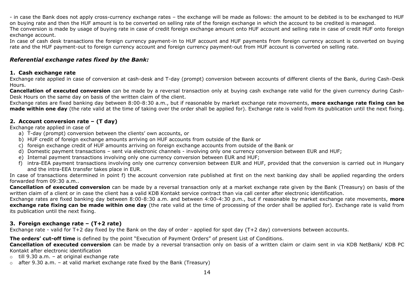- in case the Bank does not apply cross-currency exchange rates – the exchange will be made as follows: the amount to be debited is to be exchanged to HUF on buying rate and then the HUF amount is to be converted on selling rate of the foreign exchange in which the account to be credited is managed. The conversion is made by usage of buying rate in case of credit foreign exchange amount onto HUF account and selling rate in case of credit HUF onto foreign exchange account.

In case of cash desk transactions the foreign currency payment-in to HUF account and HUF payments from foreign currency account is converted on buying rate and the HUF payment-out to foreign currency account and foreign currency payment-out from HUF account is converted on selling rate.

#### *Referential exchange rates fixed by the Bank:*

#### **1. Cash exchange rate**

Exchange rate applied in case of conversion at cash-desk and T-day (prompt) conversion between accounts of different clients of the Bank, during Cash-Desk Hours.

**Cancellation of executed conversion** can be made by a reversal transaction only at buying cash exchange rate valid for the given currency during Cash-Desk Hours on the same day on basis of the written claim of the client.

Exchange rates are fixed banking day between 8:00-8:30 a.m., but if reasonable by market exchange rate movements, **more exchange rate fixing can be made within one day** (the rate valid at the time of taking over the order shall be applied for). Exchange rate is valid from its publication until the next fixing.

#### **2. Account conversion rate – (T day)**

Exchange rate applied in case of

- a) T-day (prompt) conversion between the clients' own accounts, or
- b) HUF credit of foreign exchange amounts arriving on HUF accounts from outside of the Bank or
- c) foreign exchange credit of HUF amounts arriving on foreign exchange accounts from outside of the Bank or
- d) Domestic payment transactions sent via electronic channels involving only one currency conversion between EUR and HUF;
- e) Internal payment transactions involving only one currency conversion between EUR and HUF;
- f) intra-EEA payment transactions involving only one currency conversion between EUR and HUF, provided that the conversion is carried out in Hungary and the intra-EEA transfer takes place in EUR.

In case of transactions determined in point f) the account conversion rate published at first on the next banking day shall be applied regarding the orders forwarded from 09:30 a.m..

**Cancellation of executed conversion** can be made by a reversal transaction only at a market exchange rate given by the Bank (Treasury) on basis of the written claim of a client or in case the client has a valid KDB Kontakt service contract than via call center after electronic identification.

Exchange rates are fixed banking day between 8:00-8:30 a.m. and between 4:00-4:30 p.m., but if reasonable by market exchange rate movements, **more exchange rate fixing can be made within one day** (the rate valid at the time of processing of the order shall be applied for). Exchange rate is valid from its publication until the next fixing.

#### **3. Foreign exchange rate – (T+2 rate)**

Exchange rate - valid for T+2 day fixed by the Bank on the day of order - applied for spot day (T+2 day) conversions between accounts.

**The orders' cut-off time** is defined by the point "Execution of Payment Orders" of present List of Conditions.

**Cancellation of executed conversion** can be made by a reversal transaction only on basis of a written claim or claim sent in via KDB NetBank/ KDB PC Kontakt after electronic identification

- $\circ$  till 9.30 a.m. at original exchange rate
- $\circ$  after 9.30 a.m. at valid market exchange rate fixed by the Bank (Treasury)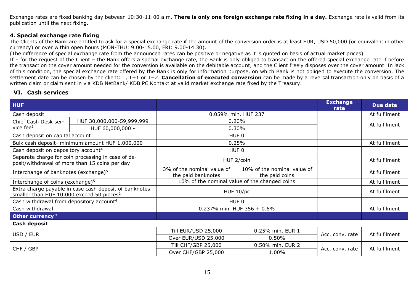Exchange rates are fixed banking day between 10:30-11:00 a.m. **There is only one foreign exchange rate fixing in a day.** Exchange rate is valid from its publication until the next fixing.

#### **4. Special exchange rate fixing**

The Clients of the Bank are entitled to ask for a special exchange rate if the amount of the conversion order is at least EUR, USD 50,000 (or equivalent in other currency) or over within open hours (MON-THU: 9.00-15.00, FRI: 9.00-14.30).

(The difference of special exchange rate from the announced rates can be positive or negative as it is quoted on basis of actual market prices)

If – for the request of the Client – the Bank offers a special exchange rate, the Bank is only obliged to transact on the offered special exchange rate if before the transaction the cover amount needed for the conversion is available on the debitable account, and the Client freely disposes over the cover amount. In lack of this condition, the special exchange rate offered by the Bank is only for information purpose, on which Bank is not obliged to execute the conversion. The settlement date can be chosen by the client: T, T+1 or T+2. **Cancellation of executed conversion** can be made by a reversal transaction only on basis of a written claim or claim sent in via KDB NetBank/ KDB PC Kontakt at valid market exchange rate fixed by the Treasury.

#### <span id="page-14-0"></span>**VI. Cash services**

| <b>HUF</b>                                            |                                                                                                      |                                                  |                                               | <b>Exchange</b><br>rate | Due date      |
|-------------------------------------------------------|------------------------------------------------------------------------------------------------------|--------------------------------------------------|-----------------------------------------------|-------------------------|---------------|
| Cash deposit                                          |                                                                                                      |                                                  | 0.059% min. HUF 237                           |                         | At fulfilment |
| Chief Cash Desk ser-                                  | HUF 30,000,000-59,999,999                                                                            |                                                  | 0.20%                                         |                         | At fulfilment |
| vice $fee1$                                           | HUF 60,000,000 -                                                                                     |                                                  | 0.30%                                         |                         |               |
| Cash deposit on capital account                       |                                                                                                      |                                                  | HUF <sub>0</sub>                              |                         |               |
|                                                       | Bulk cash deposit- minimum amount HUF 1,000,000                                                      |                                                  | 0.25%                                         |                         | At fulfilment |
| Cash deposit on depository account <sup>4</sup>       |                                                                                                      |                                                  | HUF 0                                         |                         |               |
|                                                       | Separate charge for coin processing in case of de-<br>posit/withdrawal of more than 15 coins per day | HUF 2/coin                                       |                                               |                         | At fulfilment |
| Interchange of banknotes (exchange) <sup>5</sup>      |                                                                                                      | 3% of the nominal value of<br>the paid banknotes | 10% of the nominal value of<br>the paid coins |                         | At fulfilment |
| Interchange of coins (exchange) <sup>5</sup>          |                                                                                                      | 10% of the nominal value of the changed coins    |                                               |                         | At fulfilment |
| smaller than HUF 10,000 exceed 50 pieces <sup>2</sup> | Extra charge payable in case cash deposit of banknotes                                               | HUF 10/pc                                        |                                               |                         | At fulfilment |
| Cash withdrawal from depository account <sup>4</sup>  |                                                                                                      | HUF 0                                            |                                               |                         |               |
| Cash withdrawal                                       |                                                                                                      | 0.237% min. HUF 356 + $0.6\%$                    |                                               |                         | At fulfilment |
| Other currency $3$                                    |                                                                                                      |                                                  |                                               |                         |               |
| Cash deposit                                          |                                                                                                      |                                                  |                                               |                         |               |
|                                                       |                                                                                                      | <b>Till EUR/USD 25,000</b>                       | 0.25% min. EUR 1                              |                         |               |
| USD / EUR                                             |                                                                                                      | Over EUR/USD 25,000                              | 0.50%                                         | Acc. conv. rate         | At fulfilment |
|                                                       |                                                                                                      | Till CHF/GBP 25,000                              | 0.50% min. EUR 2                              |                         |               |
| CHF / GBP                                             |                                                                                                      | Over CHF/GBP 25,000                              | 1.00%                                         | Acc. conv. rate         | At fulfilment |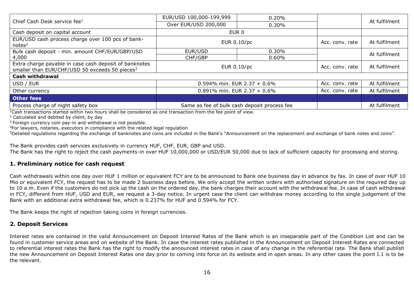|                                                                                                                      | EUR/USD 100,000-199,999                      | 0.20%    |                 |               |
|----------------------------------------------------------------------------------------------------------------------|----------------------------------------------|----------|-----------------|---------------|
| Chief Cash Desk service fee <sup>1</sup>                                                                             | Over EUR/USD 200,000                         | 0.30%    |                 | At fulfilment |
| Cash deposit on capital account                                                                                      | EUR <sub>0</sub>                             |          |                 |               |
| EUR/USD cash process charge over 100 pcs of bank-<br>notes <sup>2</sup>                                              | EUR 0.10/pc                                  |          | Acc. conv. rate | At fulfilment |
| Bulk cash deposit - min. amount CHF/EUR/GBP/USD                                                                      | EUR/USD                                      | 0.30%    |                 | At fulfilment |
| 4,000                                                                                                                | CHF/GBP                                      | $0.60\%$ |                 |               |
| Extra charge payable in case cash deposit of banknotes<br>smaller than EUR/CHF/USD 50 exceeds 50 pieces <sup>2</sup> | EUR 0.10/pc                                  |          | Acc. conv. rate | At fulfilment |
| <b>Cash withdrawal</b>                                                                                               |                                              |          |                 |               |
| USD / EUR                                                                                                            | 0.594% min. EUR 2.37 + 0.6%                  |          | Acc. conv. rate | At fulfilment |
| Other currency                                                                                                       | 0.891% min. EUR 2.37 + 0.6%                  |          | Acc. conv. rate | At fulfilment |
| <b>Other fees</b>                                                                                                    |                                              |          |                 |               |
| Process charge of night safety box                                                                                   | Same as fee of bulk cash deposit process fee |          |                 | At fulfilment |

 $1$ Cash transactions started within two hours shall be considered as one transaction from the fee point of view.

<sup>2</sup> Calculated and debited by client, by day

<sup>3</sup> Foreign currency coin pay-in and withdrawal is not possible.

<sup>4</sup>For lawyers, notaries, executors in compliance with the related legal regulation

<sup>5</sup>Detailed regulations regarding the exchange of banknotes and coins are included in the Bank's "Announcement on the replacement and exchange of bank notes and coins".

The Bank provides cash services exclusively in currency HUF, CHF, EUR, GBP and USD. The Bank has the right to reject the cash payments-in over HUF 10,000,000 or USD/EUR 50,000 due to lack of sufficient capacity for processing and storing.

#### **1. Preliminary notice for cash request**

Cash withdrawals within one day over HUF 1 million or equivalent FCY are to be announced to Bank one business day in advance by fax. In case of over HUF 10 Mio or equivalent FCY, the request has to be made 2 business days before. We only accept the written orders with authorised signature on the required day up to 10 a.m. Even if the customers do not pick up the cash on the ordered day, the bank charges their account with the withdrawal fee. In case of cash withdrawal in FCY, different from HUF, USD and EUR, we request a 3-day notice. In urgent case the client can withdraw money according to the single judgement of the Bank with an additional extra withdrawal fee, which is 0.237% for HUF and 0.594% for FCY.

The Bank keeps the right of rejection taking coins in foreign currencies.

#### **2. Deposit Services**

Interest rates are contained in the valid Announcement on Deposit Interest Rates of the Bank which is an inseparable part of the Condition List and can be found in customer service areas and on website of the Bank. In case the interest rates published in the Announcement on Deposit Interest Rates are connected to referential interest rates the Bank has the right to modify the announced interest rates in case of any change in the referential rate. The Bank shall publish the new Announcement on Deposit Interest Rates one day prior to coming into force on its website and in open areas. In any other cases the point I.1 is to be the relevant.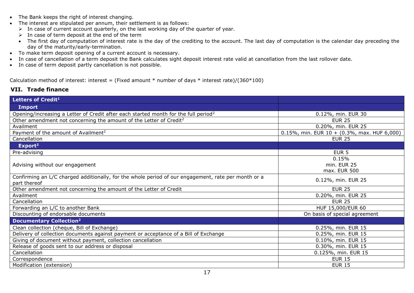- The Bank keeps the right of interest changing.
- The interest are stipulated per annum, their settlement is as follows:
	- $\triangleright$  In case of current account quarterly, on the last working day of the quarter of year.
	- $\triangleright$  In case of term deposit at the end of the term
	- The first day of computation of interest rate is the day of the crediting to the account. The last day of computation is the calendar day preceding the day of the maturity/early-termination.
- To make term deposit opening of a current account is necessary.
- In case of cancellation of a term deposit the Bank calculates sight deposit interest rate valid at cancellation from the last rollover date.
- In case of term deposit partly cancellation is not possible.

Calculation method of interest: interest = (Fixed amount  $*$  number of days  $*$  interest rate)/(360 $*100$ )

## <span id="page-16-0"></span>**VII. Trade finance**

| Letters of Credit <sup>1</sup>                                                                                      |                                                 |
|---------------------------------------------------------------------------------------------------------------------|-------------------------------------------------|
| <b>Import</b>                                                                                                       |                                                 |
| Opening/increasing a Letter of Credit after each started month for the full period <sup>2</sup>                     | 0.12%, min. EUR 30                              |
| Other amendment not concerning the amount of the Letter of Credit <sup>2</sup>                                      | <b>EUR 25</b>                                   |
| Availment                                                                                                           | 0.20%, min. EUR 25                              |
| Payment of the amount of Availment <sup>2</sup>                                                                     | $0.15\%$ , min. EUR 10 + (0.3%, max. HUF 6,000) |
| Cancellation                                                                                                        | <b>EUR 25</b>                                   |
| Export <sup>2</sup>                                                                                                 |                                                 |
| Pre-advising                                                                                                        | EUR <sub>5</sub>                                |
| Advising without our engagement                                                                                     | 0.15%<br>min. EUR 25<br>max. EUR 500            |
| Confirming an L/C charged additionally, for the whole period of our engagement, rate per month or a<br>part thereof | 0.12%, min. EUR 25                              |
| Other amendment not concerning the amount of the Letter of Credit                                                   | <b>EUR 25</b>                                   |
| Availment                                                                                                           | 0.20%, min. EUR 25                              |
| Cancellation                                                                                                        | <b>EUR 25</b>                                   |
| Forwarding an L/C to another Bank                                                                                   | HUF 15,000/EUR 60                               |
| Discounting of endorsable documents                                                                                 | On basis of special agreement                   |
| <b>Documentary Collection<sup>2</sup></b>                                                                           |                                                 |
| Clean collection (cheque, Bill of Exchange)                                                                         | 0.25%, min. EUR 15                              |
| Delivery of collection documents against payment or acceptance of a Bill of Exchange                                | 0.25%, min. EUR 15                              |
| Giving of document without payment, collection cancellation                                                         | 0.10%, min. EUR 15                              |
| Release of goods sent to our address or disposal                                                                    | 0.30%, min. EUR 15                              |
| Cancellation                                                                                                        | 0.125%, min. EUR 15                             |
| Correspondence                                                                                                      | <b>EUR 15</b>                                   |
| Modification (extension)                                                                                            | <b>EUR 15</b>                                   |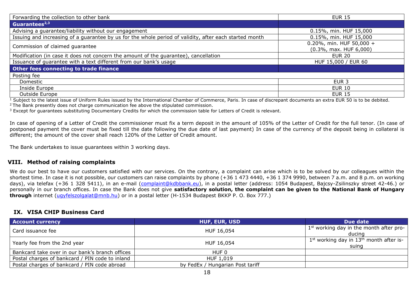| Forwarding the collection to other bank                                                                | <b>EUR 15</b>                                             |
|--------------------------------------------------------------------------------------------------------|-----------------------------------------------------------|
| Guarantees <sup>2,3</sup>                                                                              |                                                           |
| Advising a guarantee/liability without our engagement                                                  | 0.15%, min. HUF 15,000                                    |
| Issuing and increasing of a guarantee by us for the whole period of validity, after each started month | 0.15%, min. HUF 15,000                                    |
| Commission of claimed guarantee                                                                        | 0.20%, min. HUF 50,000 +<br>$(0.3\%$ , max. HUF $6,000$ ) |
| Modification (in case it does not concern the amount of the guarantee), cancellation                   | <b>EUR 20</b>                                             |
| Issuance of guarantee with a text different from our bank's usage                                      | HUF 15,000 / EUR 60                                       |
| Other fees connecting to trade finance                                                                 |                                                           |
| Posting fee                                                                                            |                                                           |
| Domestic                                                                                               | EUR <sub>3</sub>                                          |
| Inside Europe                                                                                          | <b>EUR 10</b>                                             |
| Outside Europe                                                                                         | <b>EUR 15</b>                                             |

 $1$  Subject to the latest issue of Uniform Rules issued by the International Chamber of Commerce, Paris. In case of discrepant documents an extra EUR 50 is to be debited.

 $2$  The Bank presently does not charge communication fee above the stipulated commission.

 $3$  Except for guarantees substituting Documentary Credits for which the commission table for Letters of Credit is relevant.

In case of opening of a Letter of Credit the commissioner must fix a term deposit in the amount of 105% of the Letter of Credit for the full tenor. (In case of postponed payment the cover must be fixed till the date following the due date of last payment) In case of the currency of the deposit being in collateral is different; the amount of the cover shall reach 120% of the Letter of Credit amount.

The Bank undertakes to issue guarantees within 3 working days.

#### <span id="page-17-0"></span>**VIII. Method of raising complaints**

We do our best to have our customers satisfied with our services. On the contrary, a complaint can arise which is to be solved by our colleagues within the shortest time. In case it is not possible, our customers can raise complaints by phone (+36 1 473 4440, +36 1 374 9990, between 7 a.m. and 8 p.m. on working days), via telefax (+36 1 328 5411), in an e-mail [\(complaint@kdbbank.eu\)](mailto:complaint@kdbbank.eu), in a postal letter (address: 1054 Budapest, Bajcsy-Zsilinszky street 42-46.) or personally in our branch offices. In case the Bank does not give **satisfactory solution, the complaint can be given to the National Bank of Hungary through** internet [\(ugyfelszolgalat@mnb.hu\)](mailto:ugyfelszolgalat@mnb.hu) or in a postal letter (H-1534 Budapest BKKP P. O. Box 777.)

#### <span id="page-17-1"></span>**IX. VISA CHIP Business Card**

| <b>Account currency</b>                         | <b>HUF, EUR, USD</b>             | Due date                                             |
|-------------------------------------------------|----------------------------------|------------------------------------------------------|
| Card issuance fee                               | HUF 16,054                       | $1st$ working day in the month after pro-<br>ducina  |
| Yearly fee from the 2nd year                    | HUF 16,054                       | $1st$ working day in $13th$ month after is-<br>suing |
| Bankcard take over in our bank's branch offices | HUF 0                            |                                                      |
| Postal charges of bankcard / PIN code to inland | HUF 1,019                        |                                                      |
| Postal charges of bankcard / PIN code abroad    | by FedEx / Hungarian Post tariff |                                                      |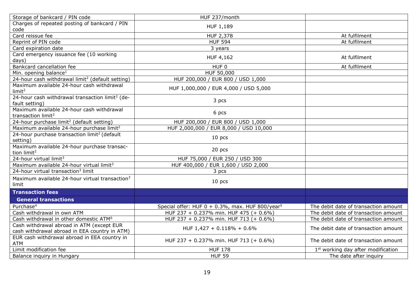| Storage of bankcard / PIN code                                                | HUF 237/month                                               |                                                |
|-------------------------------------------------------------------------------|-------------------------------------------------------------|------------------------------------------------|
| Charges of repeated posting of bankcard / PIN                                 | HUF 1,189                                                   |                                                |
| code                                                                          |                                                             |                                                |
| Card reissue fee                                                              | <b>HUF 2,378</b>                                            | At fulfilment                                  |
| Reprint of PIN code                                                           | <b>HUF 594</b>                                              | At fulfilment                                  |
| Card expiration date                                                          | 3 years                                                     |                                                |
| Card emergency issuance fee (10 working                                       | <b>HUF 4,162</b>                                            | At fulfilment                                  |
| days)                                                                         |                                                             |                                                |
| Bankcard cancellation fee                                                     | HUF 0                                                       | At fulfilment                                  |
| Min. opening balance <sup>1</sup>                                             | HUF 50,000                                                  |                                                |
| 24-hour cash withdrawal limit <sup>2</sup> (default setting)                  | HUF 200,000 / EUR 800 / USD 1,000                           |                                                |
| Maximum available 24-hour cash withdrawal<br>limit <sup>2</sup>               | HUF 1,000,000 / EUR 4,000 / USD 5,000                       |                                                |
| 24-hour cash withdrawal transaction limit <sup>2</sup> (de-<br>fault setting) | 3 pcs                                                       |                                                |
| Maximum available 24-hour cash withdrawal<br>transaction limit <sup>2</sup>   | 6 pcs                                                       |                                                |
| 24-hour purchase limit <sup>2</sup> (default setting)                         | HUF 200,000 / EUR 800 / USD 1,000                           |                                                |
| Maximum available 24-hour purchase limit <sup>2</sup>                         | HUF 2,000,000 / EUR 8,000 / USD 10,000                      |                                                |
| 24-hour purchase transaction limit <sup>2</sup> (default<br>setting)          | $10$ pcs                                                    |                                                |
| Maximum available 24-hour purchase transac-<br>tion limit <sup>2</sup>        | 20 pcs                                                      |                                                |
| 24-hour virtual limit <sup>3</sup>                                            | HUF 75,000 / EUR 250 / USD 300                              |                                                |
| Maximum available 24-hour virtual limit <sup>3</sup>                          | HUF 400,000 / EUR 1,600 / USD 2,000                         |                                                |
| 24-hour virtual transaction <sup>3</sup> limit                                | 3 pcs                                                       |                                                |
| Maximum available 24-hour virtual transaction <sup>3</sup><br>limit           | $10$ pcs                                                    |                                                |
| <b>Transaction fees</b>                                                       |                                                             |                                                |
| <b>General transactions</b>                                                   |                                                             |                                                |
| Purchase <sup>4</sup>                                                         | Special offer: HUF 0 + 0.3%, max. HUF 800/year <sup>5</sup> | The debit date of transaction amount           |
| Cash withdrawal in own ATM                                                    | HUF 237 + 0.237% min. HUF 475 (+ 0.6%)                      | The debit date of transaction amount           |
| Cash withdrawal in other domestic ATM <sup>6</sup>                            | HUF 237 + 0.237% min. HUF 713 (+ 0.6%)                      | The debit date of transaction amount           |
| Cash withdrawal abroad in ATM (except EUR                                     | HUF 1,427 + 0.118% + 0.6%                                   | The debit date of transaction amount           |
| cash withdrawal abroad in EEA country in ATM)                                 |                                                             |                                                |
| EUR cash withdrawal abroad in EEA country in<br><b>ATM</b>                    | HUF 237 + 0.237% min. HUF 713 (+ 0.6%)                      | The debit date of transaction amount           |
| Limit modification fee                                                        | <b>HUF 178</b>                                              | 1 <sup>st</sup> working day after modification |
| Balance inquiry in Hungary                                                    | <b>HUF 59</b>                                               | The date after inquiry                         |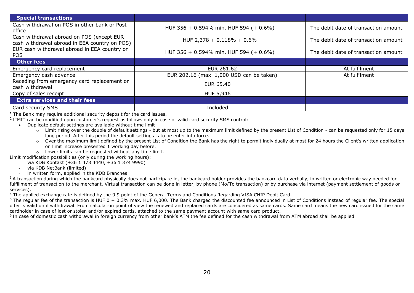| <b>Special transactions</b>                                                                |                                          |                                      |
|--------------------------------------------------------------------------------------------|------------------------------------------|--------------------------------------|
| Cash withdrawal on POS in other bank or Post<br>office                                     | HUF 356 + 0.594% min. HUF 594 (+ 0.6%)   | The debit date of transaction amount |
| Cash withdrawal abroad on POS (except EUR<br>cash withdrawal abroad in EEA country on POS) | HUF 2,378 + $0.118% + 0.6%$              | The debit date of transaction amount |
| EUR cash withdrawal abroad in EEA country on<br><b>POS</b>                                 | HUF 356 + 0.594% min. HUF 594 (+ 0.6%)   | The debit date of transaction amount |
| Other fees                                                                                 |                                          |                                      |
| Emergency card replacement                                                                 | EUR 261.62                               | At fulfilment                        |
| Emergency cash advance                                                                     | EUR 202.16 (max. 1,000 USD can be taken) | At fulfilment                        |
| Receding from emergency card replacement or<br>cash withdrawal                             | <b>EUR 65.40</b>                         |                                      |
| Copy of sales receipt                                                                      | HUF 5,946                                |                                      |
| <b>Extra services and their fees</b>                                                       |                                          |                                      |
| Card security SMS                                                                          | Included                                 |                                      |

 $1$  The Bank may require additional security deposit for the card issues.

<sup>2</sup>LIMIT can be modified upon customer's request as follows only in case of valid card security SMS control:

- Duplicate default settings are available without time limit
	- $\circ$  Limit rising over the double of default settings but at most up to the maximum limit defined by the present List of Condition can be requested only for 15 days long period. After this period the default settings is to be enter into force.
	- o Over the maximum limit defined by the present List of Condition the Bank has the right to permit individually at most for 24 hours the Client's written application on limit increase presented 1 working day before.
- o Lower limits can be requested without any time limit.

Limit modification possibilities (only during the working hours):

- via KDB Kontakt (+36 1 473 4440, +36 1 374 9990)
	- via KDB NetBank (limited)
	- in written form, applied in the KDB Branches

<sup>3</sup> A transaction during which the bankcard physically does not participate in, the bankcard holder provides the bankcard data verbally, in written or electronic way needed for fulfillment of transaction to the merchant. Virtual transaction can be done in letter, by phone (Mo/To transaction) or by purchase via internet (payment settlement of goods or services).

<sup>4</sup> The applied exchange rate is defined by the 9.9 point of the General Terms and Conditions Regarding VISA CHIP Debit Card.

 $5$  The regular fee of the transaction is HUF 0 + 0.3% max. HUF 6.000. The Bank charged the discounted fee announced in List of Conditions instead of regular fee. The special offer is valid until withdrawal. From calculation point of view the renewed and replaced cards are considered as same cards. Same card means the new card issued for the same cardholder in case of lost or stolen and/or expired cards, attached to the same payment account with same card product.

<sup>6</sup> In case of domestic cash withdrawal in foreign currency from other bank's ATM the fee defined for the cash withdrawal from ATM abroad shall be applied.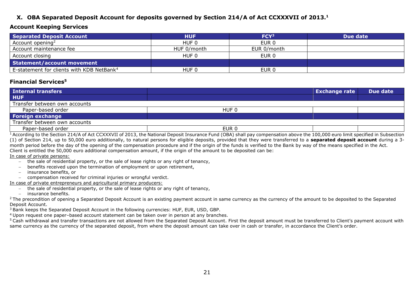### <span id="page-20-0"></span>**X. OBA Separated Deposit Account for deposits governed by Section 214/A of Act CCXXXVII of 2013.<sup>1</sup>**

#### **Account Keeping Services**

| Separated Deposit Account                             | <b>HUF</b>  | FCY <sup>3</sup> | Due date |
|-------------------------------------------------------|-------------|------------------|----------|
| Account opening <sup>2</sup>                          | HUF 0       | EUR 0            |          |
| Account maintenance fee                               | HUF 0/month | EUR 0/month      |          |
| Account closing                                       | HUF 0       | EUR 0            |          |
| Statement/account movement                            |             |                  |          |
| E-statement for clients with KDB NetBank <sup>4</sup> | HUF 0       | EUR <sub>0</sub> |          |

#### **Financial Services<sup>5</sup>**

| <b>Internal transfers</b>     |       | <b>Exchange rate</b> | Due date |
|-------------------------------|-------|----------------------|----------|
| <b>HUF</b>                    |       |                      |          |
| Transfer between own accounts |       |                      |          |
| Paper-based order             | HUF 0 |                      |          |
| Foreign exchange              |       |                      |          |
| Transfer between own accounts |       |                      |          |
| Paper-based order             | EUR 0 |                      |          |

<sup>1</sup> According to the Section 214/A of Act CCXXXVII of 2013, the National Deposit Insurance Fund (OBA) shall pay compensation above the 100,000 euro limit specified in Subsection (1) of Section 214, up to 50,000 euro additionally, to natural persons for eligible deposits, provided that they were transferred to a **separated deposit account** during a 3 month period before the day of the opening of the compensation procedure and if the origin of the funds is verified to the Bank by way of the means specified in the Act. Client is entitled the 50,000 euro additional compensation amount, if the origin of the amount to be deposited can be:

In case of private persons:

- − the sale of residential property, or the sale of lease rights or any right of tenancy,
- benefits received upon the termination of employment or upon retirement,
- − insurance benefits, or
- − compensation received for criminal injuries or wrongful verdict.

In case of private entrepreneurs and agricultural primary producers:

- − the sale of residential property, or the sale of lease rights or any right of tenancy,
- − insurance benefits.

<sup>2</sup> The precondition of opening a Separated Deposit Account is an existing payment account in same currency as the currency of the amount to be deposited to the Separated Deposit Account.

<sup>3</sup> Bank keeps the Separated Deposit Account in the following currencies: HUF, EUR, USD, GBP.

<sup>4</sup>Upon request one paper–based account statement can be taken over in person at any branches.

<sup>5</sup> Cash withdrawal and transfer transactions are not allowed from the Separated Deposit Account. First the deposit amount must be transferred to Client's payment account with same currency as the currency of the separated deposit, from where the deposit amount can take over in cash or transfer, in accordance the Client's order.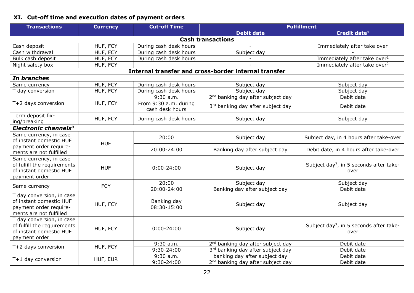# <span id="page-21-0"></span>**XI. Cut-off time and execution dates of payment orders**

| <b>Transactions</b>                                                                                       | <b>Currency</b> | <b>Cut-off Time</b>                      | <b>Fulfillment</b>                                   |                                                             |  |
|-----------------------------------------------------------------------------------------------------------|-----------------|------------------------------------------|------------------------------------------------------|-------------------------------------------------------------|--|
|                                                                                                           |                 |                                          | <b>Debit date</b>                                    | Credit date <sup>1</sup>                                    |  |
| <b>Cash transactions</b>                                                                                  |                 |                                          |                                                      |                                                             |  |
| Cash deposit                                                                                              | HUF, FCY        | During cash desk hours                   |                                                      | Immediately after take over                                 |  |
| Cash withdrawal                                                                                           | HUF, FCY        | During cash desk hours                   | Subject day                                          |                                                             |  |
| Bulk cash deposit                                                                                         | HUF, FCY        | During cash desk hours                   |                                                      | Immediately after take over <sup>2</sup>                    |  |
| Night safety box                                                                                          | HUF, FCY        |                                          |                                                      | Immediately after take over <sup>2</sup>                    |  |
|                                                                                                           |                 |                                          | Internal transfer and cross-border internal transfer |                                                             |  |
| In branches                                                                                               |                 |                                          |                                                      |                                                             |  |
| Same currency                                                                                             | HUF, FCY        | During cash desk hours                   | Subject day                                          | Subject day                                                 |  |
| T day conversion                                                                                          | HUF, FCY        | During cash desk hours                   | Subject day                                          | Subject day                                                 |  |
|                                                                                                           |                 | $9:30$ a.m.                              | 2 <sup>nd</sup> banking day after subject day        | Debit date                                                  |  |
| T+2 days conversion                                                                                       | HUF, FCY        | From 9:30 a.m. during<br>cash desk hours | 3rd banking day after subject day                    | Debit date                                                  |  |
| Term deposit fix-<br>ing/breaking                                                                         | HUF, FCY        | During cash desk hours                   | Subject day                                          | Subject day                                                 |  |
| Electronic channels <sup>3</sup>                                                                          |                 |                                          |                                                      |                                                             |  |
| Same currency, in case<br>of instant domestic HUF                                                         | <b>HUF</b>      | 20:00                                    | Subject day                                          | Subject day, in 4 hours after take-over                     |  |
| payment order require-<br>ments are not fulfilled                                                         |                 | 20:00-24:00                              | Banking day after subject day                        | Debit date, in 4 hours after take-over                      |  |
| Same currency, in case<br>of fulfill the requirements<br>of instant domestic HUF<br>payment order         | <b>HUF</b>      | $0:00 - 24:00$                           | Subject day                                          | Subject day <sup>7</sup> , in 5 seconds after take-<br>over |  |
|                                                                                                           |                 | 20:00                                    | Subject day                                          | Subject day                                                 |  |
| Same currency                                                                                             | <b>FCY</b>      | 20:00-24:00                              | Banking day after subject day                        | Debit date                                                  |  |
| T day conversion, in case<br>of instant domestic HUF<br>payment order require-<br>ments are not fulfilled | HUF, FCY        | Banking day<br>08:30-15:00               | Subject day                                          | Subject day                                                 |  |
| T day conversion, in case<br>of fulfill the requirements<br>of instant domestic HUF<br>payment order      | HUF, FCY        | $0:00 - 24:00$                           | Subject day                                          | Subject day <sup>7</sup> , in 5 seconds after take-<br>over |  |
| T+2 days conversion                                                                                       | HUF, FCY        | $9:30$ a.m.                              | 2 <sup>nd</sup> banking day after subject day        | Debit date                                                  |  |
|                                                                                                           |                 | $9:30 - 24:00$                           | 3rd banking day after subject day                    | Debit date                                                  |  |
| $T+1$ day conversion                                                                                      | HUF, EUR        | $9:30$ a.m.                              | banking day after subject day                        | Debit date                                                  |  |
|                                                                                                           |                 | 9:30-24:00                               | 2 <sup>nd</sup> banking day after subject day        | Debit date                                                  |  |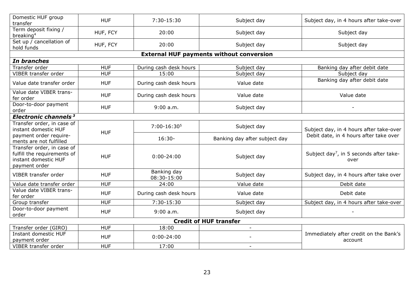| Domestic HUF group<br>transfer                                                                     | <b>HUF</b> | 7:30-15:30                 | Subject day                                     | Subject day, in 4 hours after take-over                     |
|----------------------------------------------------------------------------------------------------|------------|----------------------------|-------------------------------------------------|-------------------------------------------------------------|
| Term deposit fixing /<br>breaking <sup>4</sup>                                                     | HUF, FCY   | 20:00                      | Subject day                                     | Subject day                                                 |
| Set up / cancellation of<br>hold funds                                                             | HUF, FCY   | 20:00                      | Subject day                                     | Subject day                                                 |
|                                                                                                    |            |                            | <b>External HUF payments without conversion</b> |                                                             |
| In branches                                                                                        |            |                            |                                                 |                                                             |
| Transfer order                                                                                     | <b>HUF</b> | During cash desk hours     | Subject day                                     | Banking day after debit date                                |
| VIBER transfer order                                                                               | <b>HUF</b> | 15:00                      | Subject day                                     | Subject day                                                 |
| Value date transfer order                                                                          | <b>HUF</b> | During cash desk hours     | Value date                                      | Banking day after debit date                                |
| Value date VIBER trans-<br>fer order                                                               | <b>HUF</b> | During cash desk hours     | Value date                                      | Value date                                                  |
| Door-to-door payment<br>order                                                                      | <b>HUF</b> | 9:00 a.m.                  | Subject day                                     |                                                             |
| Electronic channels <sup>3</sup>                                                                   |            |                            |                                                 |                                                             |
| Transfer order, in case of<br>instant domestic HUF                                                 |            | $7:00-16:305$              | Subject day                                     | Subject day, in 4 hours after take-over                     |
| payment order require-<br>ments are not fulfilled                                                  | <b>HUF</b> | $16:30-$                   | Banking day after subject day                   | Debit date, in 4 hours after take over                      |
| Transfer order, in case of<br>fulfill the requirements of<br>instant domestic HUF<br>payment order | <b>HUF</b> | $0:00 - 24:00$             | Subject day                                     | Subject day <sup>7</sup> , in 5 seconds after take-<br>over |
| VIBER transfer order                                                                               | <b>HUF</b> | Banking day<br>08:30-15:00 | Subject day                                     | Subject day, in 4 hours after take over                     |
| Value date transfer order                                                                          | <b>HUF</b> | 24:00                      | Value date                                      | Debit date                                                  |
| Value date VIBER trans-<br>fer order                                                               | <b>HUF</b> | During cash desk hours     | Value date                                      | Debit date                                                  |
| Group transfer                                                                                     | <b>HUF</b> | 7:30-15:30                 | Subject day                                     | Subject day, in 4 hours after take-over                     |
| Door-to-door payment<br>order                                                                      | <b>HUF</b> | 9:00 a.m.                  | Subject day                                     |                                                             |
|                                                                                                    |            |                            | <b>Credit of HUF transfer</b>                   |                                                             |
| Transfer order (GIRO)                                                                              | <b>HUF</b> | 18:00                      | $\blacksquare$                                  |                                                             |
| Instant domestic HUF<br>payment order                                                              | <b>HUF</b> | $0:00 - 24:00$             |                                                 | Immediately after credit on the Bank's<br>account           |
| VIBER transfer order                                                                               | <b>HUF</b> | 17:00                      | $\overline{\phantom{a}}$                        |                                                             |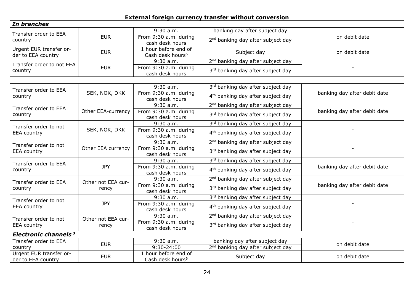# **External foreign currency transfer without conversion**

| In branches                                   |                    |                                                      |                                               |                              |
|-----------------------------------------------|--------------------|------------------------------------------------------|-----------------------------------------------|------------------------------|
| Transfer order to EEA                         |                    | $9:30$ a.m.                                          | banking day after subject day                 |                              |
| country                                       | <b>EUR</b>         | From 9:30 a.m. during<br>cash desk hours             | 2 <sup>nd</sup> banking day after subject day | on debit date                |
| Urgent EUR transfer or-<br>der to EEA country | <b>EUR</b>         | 1 hour before end of<br>Cash desk hours <sup>6</sup> | Subject day                                   | on debit date                |
| Transfer order to not EEA                     |                    | 9:30 a.m.                                            | 2 <sup>nd</sup> banking day after subject day |                              |
| country                                       | <b>EUR</b>         | From 9:30 a.m. during<br>cash desk hours             | 3rd banking day after subject day             |                              |
|                                               |                    |                                                      |                                               |                              |
| Transfer order to EEA                         |                    | $9:30$ a.m.                                          | 3rd banking day after subject day             |                              |
| country                                       | SEK, NOK, DKK      | From 9:30 a.m. during<br>cash desk hours             | 4 <sup>th</sup> banking day after subject day | banking day after debit date |
| Transfer order to EEA                         |                    | $9:30$ a.m.                                          | 2 <sup>nd</sup> banking day after subject day |                              |
| country                                       | Other EEA-currency | From 9:30 a.m. during<br>cash desk hours             | 3rd banking day after subject day             | banking day after debit date |
| Transfer order to not                         |                    | $9:30$ a.m.                                          | 3rd banking day after subject day             |                              |
| <b>EEA</b> country                            | SEK, NOK, DKK      | From 9:30 a.m. during<br>cash desk hours             | 4 <sup>th</sup> banking day after subject day |                              |
| Transfer order to not                         |                    | $9:30$ a.m.                                          | 2 <sup>nd</sup> banking day after subject day |                              |
| EEA country                                   | Other EEA currency | From 9:30 a.m. during<br>cash desk hours             | 3rd banking day after subject day             |                              |
| Transfer order to EEA                         |                    | $9:30$ a.m.                                          | 3rd banking day after subject day             |                              |
| country                                       | <b>JPY</b>         | From 9:30 a.m. during<br>cash desk hours             | 4 <sup>th</sup> banking day after subject day | banking day after debit date |
| Transfer order to EEA                         | Other not EEA cur- | $9:30$ a.m.                                          | 2 <sup>nd</sup> banking day after subject day |                              |
| country                                       | rency              | From 9:30 a.m. during<br>cash desk hours             | 3rd banking day after subject day             | banking day after debit date |
| Transfer order to not                         |                    | $9:30$ a.m.                                          | 3rd banking day after subject day             |                              |
| EEA country                                   | <b>JPY</b>         | From 9:30 a.m. during<br>cash desk hours             | 4 <sup>th</sup> banking day after subject day |                              |
| Transfer order to not                         | Other not EEA cur- | $9:30$ a.m.                                          | 2 <sup>nd</sup> banking day after subject day |                              |
| <b>EEA</b> country                            | rency              | From 9:30 a.m. during<br>cash desk hours             | 3rd banking day after subject day             |                              |
| Electronic channels <sup>3</sup>              |                    |                                                      |                                               |                              |
| Transfer order to EEA                         | <b>EUR</b>         | 9:30 a.m.                                            | banking day after subject day                 | on debit date                |
| country                                       |                    | $9:30 - 24:00$                                       | 2 <sup>nd</sup> banking day after subject day |                              |
| Urgent EUR transfer or-<br>der to EEA country | <b>EUR</b>         | 1 hour before end of<br>Cash desk hours <sup>6</sup> | Subject day                                   | on debit date                |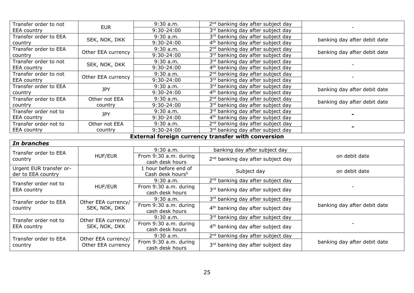| Transfer order to not | <b>EUR</b>         | $9:30$ a.m.    | 2 <sup>nd</sup> banking day after subject day |                              |
|-----------------------|--------------------|----------------|-----------------------------------------------|------------------------------|
| <b>EEA</b> country    |                    | $9:30-24:00$   | 3rd banking day after subject day             |                              |
| Transfer order to EEA | SEK, NOK, DKK      | $9:30$ a.m.    | 3rd banking day after subject day             | banking day after debit date |
| country               |                    | 9:30-24:00     | 4 <sup>th</sup> banking day after subject day |                              |
| Transfer order to EEA | Other EEA currency | $9:30$ a.m.    | 2 <sup>nd</sup> banking day after subject day | banking day after debit date |
| country               |                    | 9:30-24:00     | 3rd banking day after subject day             |                              |
| Transfer order to not | SEK, NOK, DKK      | $9:30$ a.m.    | 3rd banking day after subject day             |                              |
| <b>EEA</b> country    |                    | 9:30-24:00     | 4 <sup>th</sup> banking day after subject day |                              |
| Transfer order to not | Other EEA currency | $9:30$ a.m.    | 2 <sup>nd</sup> banking day after subject day |                              |
| EEA country           |                    | $9:30-24:00$   | 3rd banking day after subject day             |                              |
| Transfer order to EEA | <b>JPY</b>         | $9:30$ a.m.    | 3rd banking day after subject day             | banking day after debit date |
| country               |                    | $9:30 - 24:00$ | 4 <sup>th</sup> banking day after subject day |                              |
| Transfer order to EEA | Other not EEA      | $9:30$ a.m.    | 2 <sup>nd</sup> banking day after subject day | banking day after debit date |
| country               | country            | 9:30-24:00     | 3rd banking day after subject day             |                              |
| Transfer order not to | <b>JPY</b>         | $9:30$ a.m.    | 3rd banking day after subject day             |                              |
| EEA country           |                    | $9:30-24:00$   | 4 <sup>th</sup> banking day after subject day |                              |
| Transfer order not to | Other not EEA      | $9:30$ a.m.    | 2 <sup>nd</sup> banking day after subject day |                              |
| <b>EEA</b> country    | country            | $9:30-24:00$   | 3rd banking day after subject day             |                              |

#### **External foreign currency transfer with conversion**

| In branches                                   |                     |                                                      |                                               |                              |
|-----------------------------------------------|---------------------|------------------------------------------------------|-----------------------------------------------|------------------------------|
| Transfer order to EEA                         |                     | $9:30$ a.m.                                          | banking day after subject day                 |                              |
| country                                       | HUF/EUR             | From 9:30 a.m. during<br>cash desk hours             | 2 <sup>nd</sup> banking day after subject day | on debit date                |
| Urgent EUR transfer or-<br>der to EEA country |                     | 1 hour before end of<br>Cash desk hours <sup>6</sup> | Subject day                                   | on debit date                |
| Transfer order not to                         |                     | $9:30$ a.m.                                          | 2 <sup>nd</sup> banking day after subject day |                              |
| <b>EEA</b> country                            | <b>HUF/EUR</b>      | From 9:30 a.m. during<br>cash desk hours             | 3rd banking day after subject day             |                              |
| Transfer order to EEA                         | Other EEA currency/ | $9:30$ a.m.                                          | 3rd banking day after subject day             |                              |
| country                                       | SEK, NOK, DKK       | From 9:30 a.m. during<br>cash desk hours             | 4 <sup>th</sup> banking day after subject day | banking day after debit date |
| Transfer order not to                         | Other EEA currency/ | 9:30a.m.                                             | 3rd banking day after subject day             |                              |
| EEA country                                   | SEK, NOK, DKK       | From 9:30 a.m. during<br>cash desk hours             | 4 <sup>th</sup> banking day after subject day |                              |
| Transfer order to EEA                         | Other EEA currency/ | $9:30$ a.m.                                          | 2 <sup>nd</sup> banking day after subject day |                              |
| country                                       | Other EEA currency  | From 9:30 a.m. during<br>cash desk hours             | 3rd banking day after subject day             | banking day after debit date |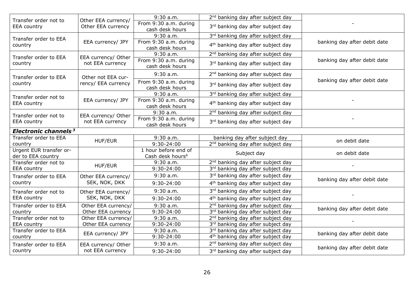| Transfer order not to<br><b>EEA</b> country   | Other EEA currency/<br>Other EEA currency | $9:30$ a.m.                                          | 2 <sup>nd</sup> banking day after subject day |                              |  |  |  |
|-----------------------------------------------|-------------------------------------------|------------------------------------------------------|-----------------------------------------------|------------------------------|--|--|--|
|                                               |                                           | From 9:30 a.m. during<br>cash desk hours             | 3rd banking day after subject day             |                              |  |  |  |
| Transfer order to EEA<br>country              | EEA currency/ JPY                         | 9:30 a.m.                                            | 3rd banking day after subject day             | banking day after debit date |  |  |  |
|                                               |                                           | From 9:30 a.m. during<br>cash desk hours             | 4 <sup>th</sup> banking day after subject day |                              |  |  |  |
| Transfer order to EEA<br>country              | EEA currency/ Other<br>not EEA currency   | 9:30a.m.                                             | 2 <sup>nd</sup> banking day after subject day | banking day after debit date |  |  |  |
|                                               |                                           | From 9:30 a.m. during<br>cash desk hours             | 3rd banking day after subject day             |                              |  |  |  |
| Transfer order to EEA<br>country              | Other not EEA cur-<br>rency/ EEA currency | $9:30$ a.m.                                          | 2 <sup>nd</sup> banking day after subject day | banking day after debit date |  |  |  |
|                                               |                                           | From 9:30 a.m. during<br>cash desk hours             | 3rd banking day after subject day             |                              |  |  |  |
| Transfer order not to<br><b>EEA</b> country   | EEA currency/ JPY                         | $9:30$ a.m.                                          | 3rd banking day after subject day             |                              |  |  |  |
|                                               |                                           | From 9:30 a.m. during<br>cash desk hours             | 4 <sup>th</sup> banking day after subject day |                              |  |  |  |
| Transfer order not to<br><b>EEA</b> country   | EEA currency/ Other<br>not EEA currency   | $9:30$ a.m.                                          | 2 <sup>nd</sup> banking day after subject day |                              |  |  |  |
|                                               |                                           | From 9:30 a.m. during<br>cash desk hours             | 3rd banking day after subject day             |                              |  |  |  |
| Electronic channels <sup>3</sup>              |                                           |                                                      |                                               |                              |  |  |  |
| Transfer order to EEA                         | <b>HUF/EUR</b>                            | $9:30$ a.m.                                          | banking day after subject day                 | on debit date                |  |  |  |
| country                                       |                                           | $9:30-24:00$                                         | 2 <sup>nd</sup> banking day after subject day |                              |  |  |  |
| Urgent EUR transfer or-<br>der to EEA country |                                           | 1 hour before end of<br>Cash desk hours <sup>6</sup> | Subject day                                   | on debit date                |  |  |  |
| Transfer order not to                         | <b>HUF/EUR</b>                            | $9:30$ a.m.                                          | 2 <sup>nd</sup> banking day after subject day |                              |  |  |  |
| <b>EEA</b> country                            |                                           | 9:30-24:00                                           | 3rd banking day after subject day             |                              |  |  |  |
| Transfer order to EEA<br>country              | Other EEA currency/<br>SEK, NOK, DKK      | $9:30$ a.m.                                          | 3rd banking day after subject day             | banking day after debit date |  |  |  |
|                                               |                                           | $9:30-24:00$                                         | 4 <sup>th</sup> banking day after subject day |                              |  |  |  |
| Transfer order not to<br><b>EEA</b> country   | Other EEA currency/<br>SEK, NOK, DKK      | $9:30$ a.m.                                          | 3rd banking day after subject day             |                              |  |  |  |
|                                               |                                           | $9:30-24:00$                                         | 4 <sup>th</sup> banking day after subject day |                              |  |  |  |
| Transfer order to EEA<br>country              | Other EEA currency/<br>Other EEA currency | $9:30$ a.m.                                          | 2 <sup>nd</sup> banking day after subject day | banking day after debit date |  |  |  |
|                                               |                                           | 9:30-24:00                                           | 3rd banking day after subject day             |                              |  |  |  |
| Transfer order not to                         | Other EEA currency/                       | $9:30$ a.m.                                          | 2 <sup>nd</sup> banking day after subject day |                              |  |  |  |
| <b>EEA</b> country                            | Other EEA currency                        | 9:30-24:00                                           | 3rd banking day after subject day             |                              |  |  |  |
| Transfer order to EEA<br>country              | EEA currency/ JPY                         | 9:30 a.m.                                            | 3rd banking day after subject day             | banking day after debit date |  |  |  |
|                                               |                                           | 9:30-24:00                                           | 4 <sup>th</sup> banking day after subject day |                              |  |  |  |
| Transfer order to EEA<br>country              | EEA currency/ Other<br>not EEA currency   | $9:30$ a.m.                                          | 2 <sup>nd</sup> banking day after subject day | banking day after debit date |  |  |  |
|                                               |                                           | 9:30-24:00                                           | 3rd banking day after subject day             |                              |  |  |  |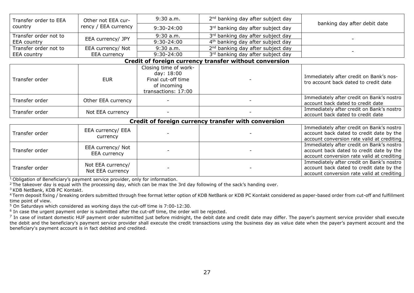| Transfer order to EEA<br>country                       | Other not EEA cur-<br>rency / EEA currency | $9:30$ a.m.                                                                                     | 2 <sup>nd</sup> banking day after subject day | banking day after debit date                                                                                                        |  |  |  |
|--------------------------------------------------------|--------------------------------------------|-------------------------------------------------------------------------------------------------|-----------------------------------------------|-------------------------------------------------------------------------------------------------------------------------------------|--|--|--|
|                                                        |                                            | 9:30-24:00                                                                                      | 3rd banking day after subject day             |                                                                                                                                     |  |  |  |
| Transfer order not to<br><b>EEA</b> country            | EEA currency/ JPY                          | $9:30$ a.m.                                                                                     | 3rd banking day after subject day             |                                                                                                                                     |  |  |  |
|                                                        |                                            | 9:30-24:00                                                                                      | 4 <sup>th</sup> banking day after subject day |                                                                                                                                     |  |  |  |
| Transfer order not to                                  | EEA currency/ Not                          | $9:30$ a.m.                                                                                     | 2 <sup>nd</sup> banking day after subject day |                                                                                                                                     |  |  |  |
| <b>EEA</b> country                                     | EEA currency                               | 9:30-24:00                                                                                      | 3rd banking day after subject day             |                                                                                                                                     |  |  |  |
| Credit of foreign currency transfer without conversion |                                            |                                                                                                 |                                               |                                                                                                                                     |  |  |  |
| Transfer order                                         | <b>EUR</b>                                 | Closing time of work-<br>day: 18:00<br>Final cut-off time<br>of incoming<br>transactions: 17:00 |                                               | Immediately after credit on Bank's nos-<br>tro account back dated to credit date                                                    |  |  |  |
| Transfer order                                         | Other EEA currency                         |                                                                                                 |                                               | Immediately after credit on Bank's nostro<br>account back dated to credit date                                                      |  |  |  |
| Transfer order                                         | Not EEA currency                           |                                                                                                 |                                               | Immediately after credit on Bank's nostro<br>account back dated to credit date                                                      |  |  |  |
| Credit of foreign currency transfer with conversion    |                                            |                                                                                                 |                                               |                                                                                                                                     |  |  |  |
| Transfer order                                         | EEA currency/ EEA<br>currency              |                                                                                                 |                                               | Immediately after credit on Bank's nostro<br>account back dated to credit date by the<br>account conversion rate valid at crediting |  |  |  |
| Transfer order                                         | EEA currency/ Not<br>EEA currency          |                                                                                                 |                                               | Immediately after credit on Bank's nostro<br>account back dated to credit date by the<br>account conversion rate valid at crediting |  |  |  |
| Transfer order                                         | Not EEA currency/<br>Not EEA currency      |                                                                                                 |                                               | Immediately after credit on Bank's nostro<br>account back dated to credit date by the<br>account conversion rate valid at crediting |  |  |  |

<sup>1</sup> Obligation of Beneficiary's payment service provider, only for information.

<sup>2</sup> The takeover day is equal with the processing day, which can be max the 3rd day following of the sack's handing over.

<sup>3</sup> KDB NetBank, KDB PC Kontakt.

<sup>4</sup>Term deposit fixing / breaking orders submitted through free format letter option of KDB NetBank or KDB PC Kontakt considered as paper-based order from cut-off and fulfillment time point of view.

<sup>5</sup> On Saturdays which considered as working days the cut-off time is 7:00-12:30.

<sup>6</sup> In case the urgent payment order is submitted after the cut-off time, the order will be rejected.

 $^7$  In case of instant domestic HUF payment order submitted just before midnight, the debit date and credit date may differ. The payer's payment service provider shall execute the debit and the beneficiary's payment service provider shall execute the credit transactions using the business day as value date when the payer's payment account and the beneficiary's payment account is in fact debited and credited.